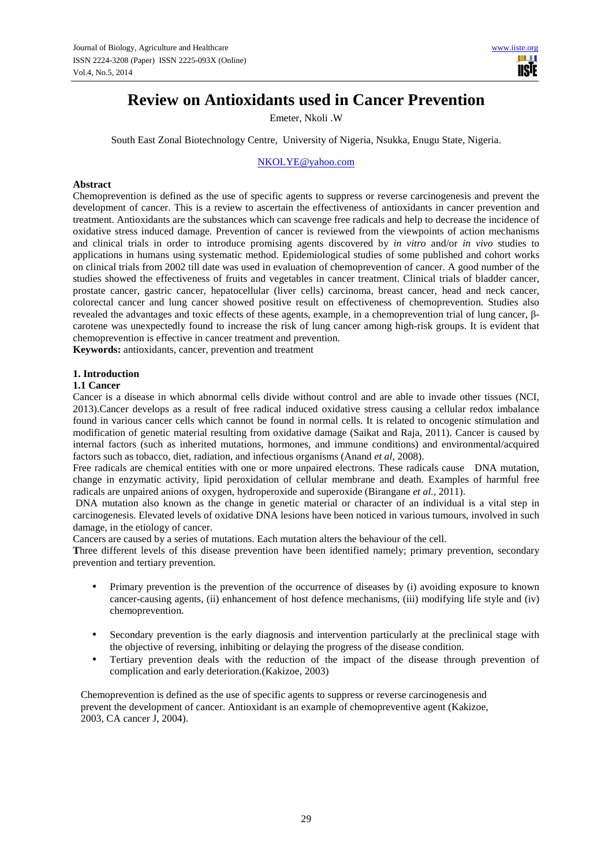# **Review on Antioxidants used in Cancer Prevention**

Emeter, Nkoli .W

South East Zonal Biotechnology Centre, University of Nigeria, Nsukka, Enugu State, Nigeria.

NKOLYE@yahoo.com

# **Abstract**

Chemoprevention is defined as the use of specific agents to suppress or reverse carcinogenesis and prevent the development of cancer. This is a review to ascertain the effectiveness of antioxidants in cancer prevention and treatment. Antioxidants are the substances which can scavenge free radicals and help to decrease the incidence of oxidative stress induced damage. Prevention of cancer is reviewed from the viewpoints of action mechanisms and clinical trials in order to introduce promising agents discovered by *in vitro* and/or *in vivo* studies to applications in humans using systematic method. Epidemiological studies of some published and cohort works on clinical trials from 2002 till date was used in evaluation of chemoprevention of cancer. A good number of the studies showed the effectiveness of fruits and vegetables in cancer treatment. Clinical trials of bladder cancer, prostate cancer, gastric cancer, hepatocellular (liver cells) carcinoma, breast cancer, head and neck cancer, colorectal cancer and lung cancer showed positive result on effectiveness of chemoprevention. Studies also revealed the advantages and toxic effects of these agents, example, in a chemoprevention trial of lung cancer, βcarotene was unexpectedly found to increase the risk of lung cancer among high-risk groups. It is evident that chemoprevention is effective in cancer treatment and prevention.

**Keywords:** antioxidants, cancer, prevention and treatment

### **1. Introduction**

# **1.1 Cancer**

Cancer is a disease in which abnormal cells divide without control and are able to invade other tissues (NCI, 2013).Cancer develops as a result of free radical induced oxidative stress causing a cellular redox imbalance found in various cancer cells which cannot be found in normal cells. It is related to oncogenic stimulation and modification of genetic material resulting from oxidative damage (Saikat and Raja, 2011). Cancer is caused by internal factors (such as inherited mutations, hormones, and immune conditions) and environmental/acquired factors such as tobacco, diet, radiation, and infectious organisms (Anand *et al*, 2008).

Free radicals are chemical entities with one or more unpaired electrons. These radicals cause DNA mutation, change in enzymatic activity, lipid peroxidation of cellular membrane and death. Examples of harmful free radicals are unpaired anions of oxygen, hydroperoxide and superoxide (Birangane *et al.*, 2011).

 DNA mutation also known as the change in genetic material or character of an individual is a vital step in carcinogenesis. Elevated levels of oxidative DNA lesions have been noticed in various tumours, involved in such damage, in the etiology of cancer.

Cancers are caused by a series of mutations. Each mutation alters the behaviour of the cell.

**T**hree different levels of this disease prevention have been identified namely; primary prevention, secondary prevention and tertiary prevention.

- Primary prevention is the prevention of the occurrence of diseases by (i) avoiding exposure to known cancer-causing agents, (ii) enhancement of host defence mechanisms, (iii) modifying life style and (iv) chemoprevention.
- Secondary prevention is the early diagnosis and intervention particularly at the preclinical stage with the objective of reversing, inhibiting or delaying the progress of the disease condition.
- Tertiary prevention deals with the reduction of the impact of the disease through prevention of complication and early deterioration.(Kakizoe, 2003)

 Chemoprevention is defined as the use of specific agents to suppress or reverse carcinogenesis and prevent the development of cancer. Antioxidant is an example of chemopreventive agent (Kakizoe, 2003, CA cancer J, 2004).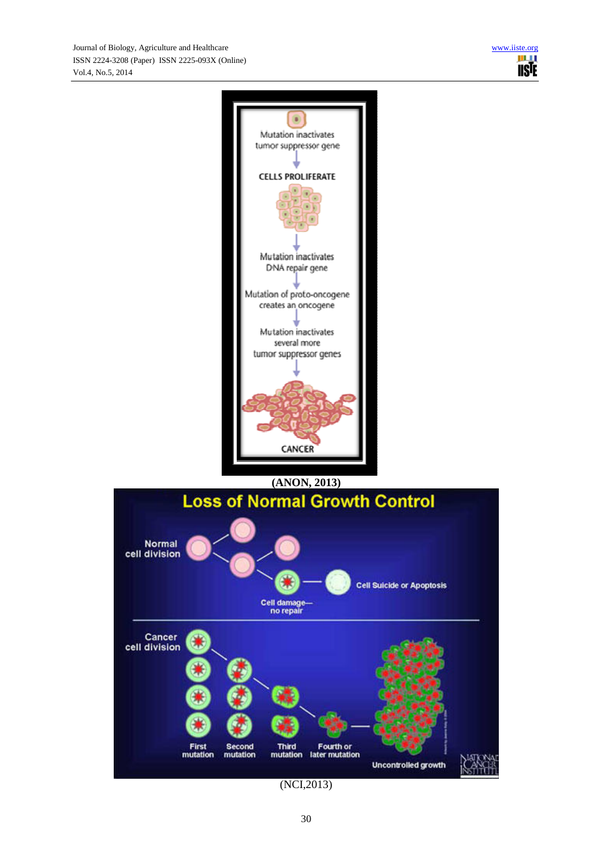

(NCI,2013)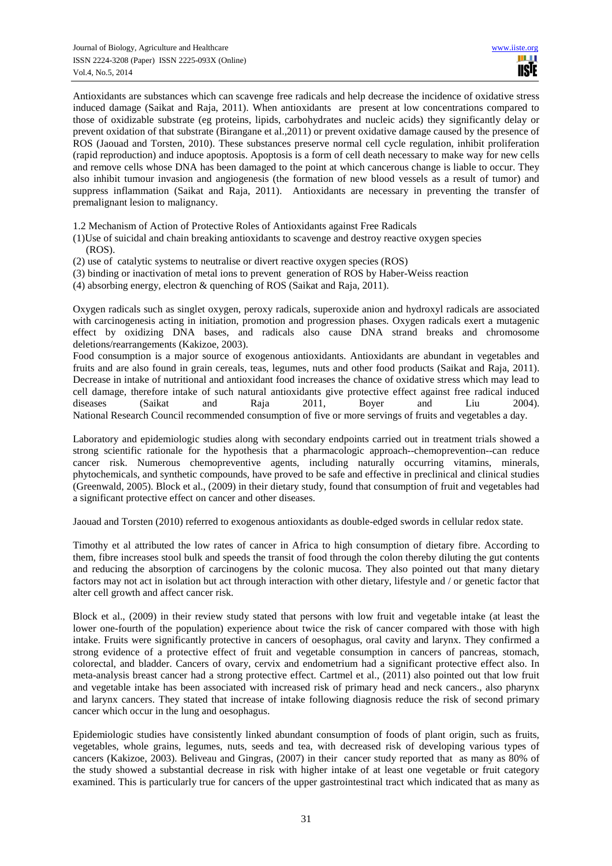Antioxidants are substances which can scavenge free radicals and help decrease the incidence of oxidative stress induced damage (Saikat and Raja, 2011). When antioxidants are present at low concentrations compared to those of oxidizable substrate (eg proteins, lipids, carbohydrates and nucleic acids) they significantly delay or prevent oxidation of that substrate (Birangane et al.,2011) or prevent oxidative damage caused by the presence of ROS (Jaouad and Torsten, 2010). These substances preserve normal cell cycle regulation, inhibit proliferation (rapid reproduction) and induce apoptosis. Apoptosis is a form of cell death necessary to make way for new cells and remove cells whose DNA has been damaged to the point at which cancerous change is liable to occur. They also inhibit tumour invasion and angiogenesis (the formation of new blood vessels as a result of tumor) and suppress inflammation (Saikat and Raja, 2011). Antioxidants are necessary in preventing the transfer of premalignant lesion to malignancy.

1.2 Mechanism of Action of Protective Roles of Antioxidants against Free Radicals

- (1)Use of suicidal and chain breaking antioxidants to scavenge and destroy reactive oxygen species (ROS).
- (2) use of catalytic systems to neutralise or divert reactive oxygen species (ROS)
- (3) binding or inactivation of metal ions to prevent generation of ROS by Haber-Weiss reaction
- (4) absorbing energy, electron & quenching of ROS (Saikat and Raja, 2011).

Oxygen radicals such as singlet oxygen, peroxy radicals, superoxide anion and hydroxyl radicals are associated with carcinogenesis acting in initiation, promotion and progression phases. Oxygen radicals exert a mutagenic effect by oxidizing DNA bases, and radicals also cause DNA strand breaks and chromosome deletions/rearrangements (Kakizoe, 2003).

Food consumption is a major source of exogenous antioxidants. Antioxidants are abundant in vegetables and fruits and are also found in grain cereals, teas, legumes, nuts and other food products (Saikat and Raja, 2011). Decrease in intake of nutritional and antioxidant food increases the chance of oxidative stress which may lead to cell damage, therefore intake of such natural antioxidants give protective effect against free radical induced diseases (Saikat and Raja 2011, Boyer and Liu 2004). National Research Council recommended consumption of five or more servings of fruits and vegetables a day.

Laboratory and epidemiologic studies along with secondary endpoints carried out in treatment trials showed a strong scientific rationale for the hypothesis that a pharmacologic approach--chemoprevention--can reduce cancer risk. Numerous chemopreventive agents, including naturally occurring vitamins, minerals, phytochemicals, and synthetic compounds, have proved to be safe and effective in preclinical and clinical studies (Greenwald, 2005). Block et al., (2009) in their dietary study, found that consumption of fruit and vegetables had a significant protective effect on cancer and other diseases.

Jaouad and Torsten (2010) referred to exogenous antioxidants as double-edged swords in cellular redox state.

Timothy et al attributed the low rates of cancer in Africa to high consumption of dietary fibre. According to them, fibre increases stool bulk and speeds the transit of food through the colon thereby diluting the gut contents and reducing the absorption of carcinogens by the colonic mucosa. They also pointed out that many dietary factors may not act in isolation but act through interaction with other dietary, lifestyle and / or genetic factor that alter cell growth and affect cancer risk.

Block et al., (2009) in their review study stated that persons with low fruit and vegetable intake (at least the lower one-fourth of the population) experience about twice the risk of cancer compared with those with high intake. Fruits were significantly protective in cancers of oesophagus, oral cavity and larynx. They confirmed a strong evidence of a protective effect of fruit and vegetable consumption in cancers of pancreas, stomach, colorectal, and bladder. Cancers of ovary, cervix and endometrium had a significant protective effect also. In meta-analysis breast cancer had a strong protective effect. Cartmel et al., (2011) also pointed out that low fruit and vegetable intake has been associated with increased risk of primary head and neck cancers., also pharynx and larynx cancers. They stated that increase of intake following diagnosis reduce the risk of second primary cancer which occur in the lung and oesophagus.

Epidemiologic studies have consistently linked abundant consumption of foods of plant origin, such as fruits, vegetables, whole grains, legumes, nuts, seeds and tea, with decreased risk of developing various types of cancers (Kakizoe, 2003). Beliveau and Gingras, (2007) in their cancer study reported that as many as 80% of the study showed a substantial decrease in risk with higher intake of at least one vegetable or fruit category examined. This is particularly true for cancers of the upper gastrointestinal tract which indicated that as many as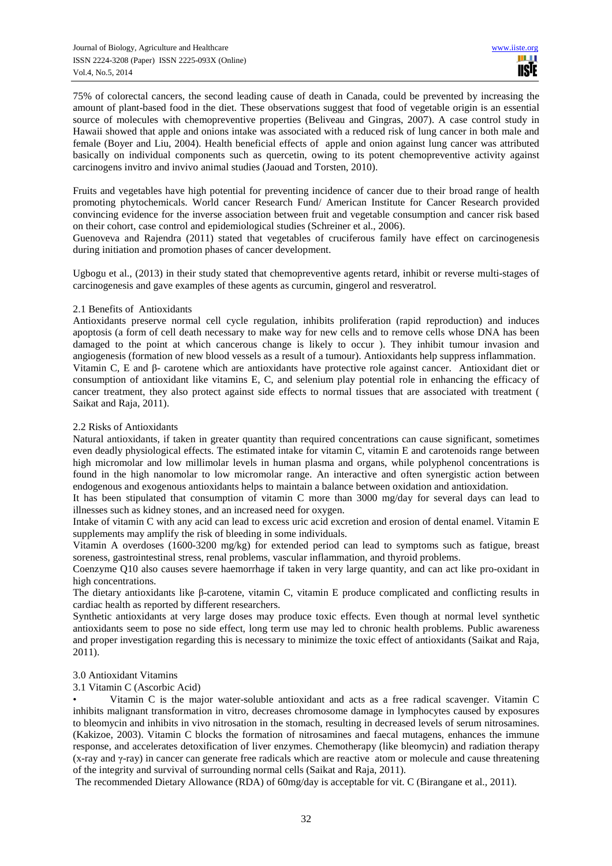75% of colorectal cancers, the second leading cause of death in Canada, could be prevented by increasing the amount of plant-based food in the diet. These observations suggest that food of vegetable origin is an essential source of molecules with chemopreventive properties (Beliveau and Gingras, 2007). A case control study in Hawaii showed that apple and onions intake was associated with a reduced risk of lung cancer in both male and female (Boyer and Liu, 2004). Health beneficial effects of apple and onion against lung cancer was attributed basically on individual components such as quercetin, owing to its potent chemopreventive activity against carcinogens invitro and invivo animal studies (Jaouad and Torsten, 2010).

Fruits and vegetables have high potential for preventing incidence of cancer due to their broad range of health promoting phytochemicals. World cancer Research Fund/ American Institute for Cancer Research provided convincing evidence for the inverse association between fruit and vegetable consumption and cancer risk based on their cohort, case control and epidemiological studies (Schreiner et al., 2006).

Guenoveva and Rajendra (2011) stated that vegetables of cruciferous family have effect on carcinogenesis during initiation and promotion phases of cancer development.

Ugbogu et al., (2013) in their study stated that chemopreventive agents retard, inhibit or reverse multi-stages of carcinogenesis and gave examples of these agents as curcumin, gingerol and resveratrol.

#### 2.1 Benefits of Antioxidants

Antioxidants preserve normal cell cycle regulation, inhibits proliferation (rapid reproduction) and induces apoptosis (a form of cell death necessary to make way for new cells and to remove cells whose DNA has been damaged to the point at which cancerous change is likely to occur ). They inhibit tumour invasion and angiogenesis (formation of new blood vessels as a result of a tumour). Antioxidants help suppress inflammation. Vitamin C, E and β- carotene which are antioxidants have protective role against cancer. Antioxidant diet or consumption of antioxidant like vitamins E, C, and selenium play potential role in enhancing the efficacy of cancer treatment, they also protect against side effects to normal tissues that are associated with treatment ( Saikat and Raja, 2011).

#### 2.2 Risks of Antioxidants

Natural antioxidants, if taken in greater quantity than required concentrations can cause significant, sometimes even deadly physiological effects. The estimated intake for vitamin C, vitamin E and carotenoids range between high micromolar and low millimolar levels in human plasma and organs, while polyphenol concentrations is found in the high nanomolar to low micromolar range. An interactive and often synergistic action between endogenous and exogenous antioxidants helps to maintain a balance between oxidation and antioxidation.

It has been stipulated that consumption of vitamin C more than 3000 mg/day for several days can lead to illnesses such as kidney stones, and an increased need for oxygen.

Intake of vitamin C with any acid can lead to excess uric acid excretion and erosion of dental enamel. Vitamin E supplements may amplify the risk of bleeding in some individuals.

Vitamin A overdoses (1600-3200 mg/kg) for extended period can lead to symptoms such as fatigue, breast soreness, gastrointestinal stress, renal problems, vascular inflammation, and thyroid problems.

Coenzyme Q10 also causes severe haemorrhage if taken in very large quantity, and can act like pro-oxidant in high concentrations.

The dietary antioxidants like β-carotene, vitamin C, vitamin E produce complicated and conflicting results in cardiac health as reported by different researchers.

Synthetic antioxidants at very large doses may produce toxic effects. Even though at normal level synthetic antioxidants seem to pose no side effect, long term use may led to chronic health problems. Public awareness and proper investigation regarding this is necessary to minimize the toxic effect of antioxidants (Saikat and Raja, 2011).

#### 3.0 Antioxidant Vitamins

### 3.1 Vitamin C (Ascorbic Acid)

• Vitamin C is the major water-soluble antioxidant and acts as a free radical scavenger. Vitamin C inhibits malignant transformation in vitro, decreases chromosome damage in lymphocytes caused by exposures to bleomycin and inhibits in vivo nitrosation in the stomach, resulting in decreased levels of serum nitrosamines. (Kakizoe, 2003). Vitamin C blocks the formation of nitrosamines and faecal mutagens, enhances the immune response, and accelerates detoxification of liver enzymes. Chemotherapy (like bleomycin) and radiation therapy (x-ray and γ-ray) in cancer can generate free radicals which are reactive atom or molecule and cause threatening of the integrity and survival of surrounding normal cells (Saikat and Raja, 2011).

The recommended Dietary Allowance (RDA) of 60mg/day is acceptable for vit. C (Birangane et al., 2011).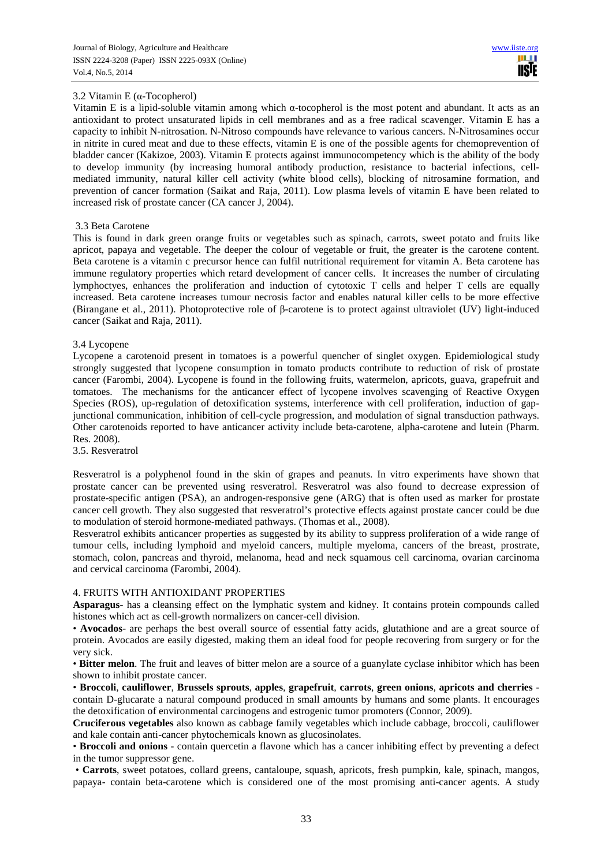# 3.2 Vitamin E (α-Tocopherol)

Vitamin E is a lipid-soluble vitamin among which  $\alpha$ -tocopherol is the most potent and abundant. It acts as an antioxidant to protect unsaturated lipids in cell membranes and as a free radical scavenger. Vitamin E has a capacity to inhibit N-nitrosation. N-Nitroso compounds have relevance to various cancers. N-Nitrosamines occur in nitrite in cured meat and due to these effects, vitamin E is one of the possible agents for chemoprevention of bladder cancer (Kakizoe, 2003). Vitamin E protects against immunocompetency which is the ability of the body to develop immunity (by increasing humoral antibody production, resistance to bacterial infections, cellmediated immunity, natural killer cell activity (white blood cells), blocking of nitrosamine formation, and prevention of cancer formation (Saikat and Raja, 2011). Low plasma levels of vitamin E have been related to increased risk of prostate cancer (CA cancer J, 2004).

### 3.3 Beta Carotene

This is found in dark green orange fruits or vegetables such as spinach, carrots, sweet potato and fruits like apricot, papaya and vegetable. The deeper the colour of vegetable or fruit, the greater is the carotene content. Beta carotene is a vitamin c precursor hence can fulfil nutritional requirement for vitamin A. Beta carotene has immune regulatory properties which retard development of cancer cells. It increases the number of circulating lymphoctyes, enhances the proliferation and induction of cytotoxic T cells and helper T cells are equally increased. Beta carotene increases tumour necrosis factor and enables natural killer cells to be more effective (Birangane et al., 2011). Photoprotective role of β-carotene is to protect against ultraviolet (UV) light-induced cancer (Saikat and Raja, 2011).

### 3.4 Lycopene

Lycopene a carotenoid present in tomatoes is a powerful quencher of singlet oxygen. Epidemiological study strongly suggested that lycopene consumption in tomato products contribute to reduction of risk of prostate cancer (Farombi, 2004). Lycopene is found in the following fruits, watermelon, apricots, guava, grapefruit and tomatoes. The mechanisms for the anticancer effect of lycopene involves scavenging of Reactive Oxygen Species (ROS), up-regulation of detoxification systems, interference with cell proliferation, induction of gapjunctional communication, inhibition of cell-cycle progression, and modulation of signal transduction pathways. Other carotenoids reported to have anticancer activity include beta-carotene, alpha-carotene and lutein (Pharm. Res. 2008).

3.5. Resveratrol

Resveratrol is a polyphenol found in the skin of grapes and peanuts. In vitro experiments have shown that prostate cancer can be prevented using resveratrol. Resveratrol was also found to decrease expression of prostate-specific antigen (PSA), an androgen-responsive gene (ARG) that is often used as marker for prostate cancer cell growth. They also suggested that resveratrol's protective effects against prostate cancer could be due to modulation of steroid hormone-mediated pathways. (Thomas et al., 2008).

Resveratrol exhibits anticancer properties as suggested by its ability to suppress proliferation of a wide range of tumour cells, including lymphoid and myeloid cancers, multiple myeloma, cancers of the breast, prostrate, stomach, colon, pancreas and thyroid, melanoma, head and neck squamous cell carcinoma, ovarian carcinoma and cervical carcinoma (Farombi, 2004).

### 4. FRUITS WITH ANTIOXIDANT PROPERTIES

**Asparagus**- has a cleansing effect on the lymphatic system and kidney. It contains protein compounds called histones which act as cell-growth normalizers on cancer-cell division.

• **Avocados**- are perhaps the best overall source of essential fatty acids, glutathione and are a great source of protein. Avocados are easily digested, making them an ideal food for people recovering from surgery or for the very sick.

• **Bitter melon**. The fruit and leaves of bitter melon are a source of a guanylate cyclase inhibitor which has been shown to inhibit prostate cancer.

• **Broccoli**, **cauliflower**, **Brussels sprouts**, **apples**, **grapefruit**, **carrots**, **green onions**, **apricots and cherries** contain D-glucarate a natural compound produced in small amounts by humans and some plants. It encourages the detoxification of environmental carcinogens and estrogenic tumor promoters (Connor, 2009).

**Cruciferous vegetables** also known as cabbage family vegetables which include cabbage, broccoli, cauliflower and kale contain anti-cancer phytochemicals known as glucosinolates.

• **Broccoli and onions** - contain quercetin a flavone which has a cancer inhibiting effect by preventing a defect in the tumor suppressor gene.

 • **Carrots**, sweet potatoes, collard greens, cantaloupe, squash, apricots, fresh pumpkin, kale, spinach, mangos, papaya- contain beta-carotene which is considered one of the most promising anti-cancer agents. A study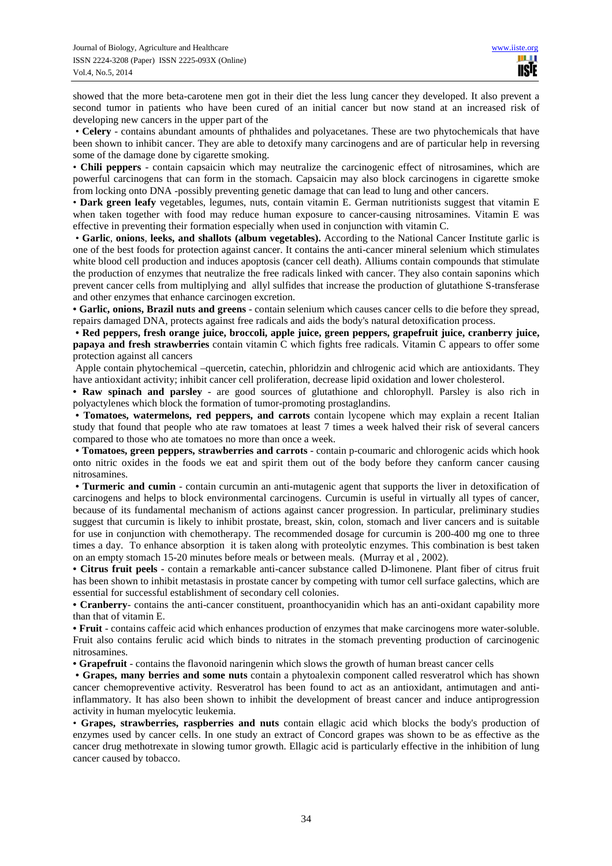showed that the more beta-carotene men got in their diet the less lung cancer they developed. It also prevent a second tumor in patients who have been cured of an initial cancer but now stand at an increased risk of developing new cancers in the upper part of the

 • **Celery** - contains abundant amounts of phthalides and polyacetanes. These are two phytochemicals that have been shown to inhibit cancer. They are able to detoxify many carcinogens and are of particular help in reversing some of the damage done by cigarette smoking.

• **Chili peppers** - contain capsaicin which may neutralize the carcinogenic effect of nitrosamines, which are powerful carcinogens that can form in the stomach. Capsaicin may also block carcinogens in cigarette smoke from locking onto DNA -possibly preventing genetic damage that can lead to lung and other cancers.

• **Dark green leafy** vegetables, legumes, nuts, contain vitamin E. German nutritionists suggest that vitamin E when taken together with food may reduce human exposure to cancer-causing nitrosamines. Vitamin E was effective in preventing their formation especially when used in conjunction with vitamin C.

 • **Garlic**, **onions**, **leeks, and shallots (album vegetables).** According to the National Cancer Institute garlic is one of the best foods for protection against cancer. It contains the anti-cancer mineral selenium which stimulates white blood cell production and induces apoptosis (cancer cell death). Alliums contain compounds that stimulate the production of enzymes that neutralize the free radicals linked with cancer. They also contain saponins which prevent cancer cells from multiplying and allyl sulfides that increase the production of glutathione S-transferase and other enzymes that enhance carcinogen excretion.

**• Garlic, onions, Brazil nuts and greens** - contain selenium which causes cancer cells to die before they spread, repairs damaged DNA, protects against free radicals and aids the body's natural detoxification process.

**• Red peppers, fresh orange juice, broccoli, apple juice, green peppers, grapefruit juice, cranberry juice, papaya and fresh strawberries** contain vitamin C which fights free radicals. Vitamin C appears to offer some protection against all cancers

 Apple contain phytochemical –quercetin, catechin, phloridzin and chlrogenic acid which are antioxidants. They have antioxidant activity; inhibit cancer cell proliferation, decrease lipid oxidation and lower cholesterol.

**• Raw spinach and parsley** - are good sources of glutathione and chlorophyll. Parsley is also rich in polyactylenes which block the formation of tumor-promoting prostaglandins.

**• Tomatoes, watermelons, red peppers, and carrots** contain lycopene which may explain a recent Italian study that found that people who ate raw tomatoes at least 7 times a week halved their risk of several cancers compared to those who ate tomatoes no more than once a week.

**• Tomatoes, green peppers, strawberries and carrots** - contain p-coumaric and chlorogenic acids which hook onto nitric oxides in the foods we eat and spirit them out of the body before they canform cancer causing nitrosamines.

**• Turmeric and cumin** - contain curcumin an anti-mutagenic agent that supports the liver in detoxification of carcinogens and helps to block environmental carcinogens. Curcumin is useful in virtually all types of cancer, because of its fundamental mechanism of actions against cancer progression. In particular, preliminary studies suggest that curcumin is likely to inhibit prostate, breast, skin, colon, stomach and liver cancers and is suitable for use in conjunction with chemotherapy. The recommended dosage for curcumin is 200-400 mg one to three times a day. To enhance absorption it is taken along with proteolytic enzymes. This combination is best taken on an empty stomach 15-20 minutes before meals or between meals. (Murray et al , 2002).

**• Citrus fruit peels** - contain a remarkable anti-cancer substance called D-limonene. Plant fiber of citrus fruit has been shown to inhibit metastasis in prostate cancer by competing with tumor cell surface galectins, which are essential for successful establishment of secondary cell colonies.

**• Cranberry**- contains the anti-cancer constituent, proanthocyanidin which has an anti-oxidant capability more than that of vitamin E.

**• Fruit** - contains caffeic acid which enhances production of enzymes that make carcinogens more water-soluble. Fruit also contains ferulic acid which binds to nitrates in the stomach preventing production of carcinogenic nitrosamines.

**• Grapefruit** - contains the flavonoid naringenin which slows the growth of human breast cancer cells

 **• Grapes, many berries and some nuts** contain a phytoalexin component called resveratrol which has shown cancer chemopreventive activity. Resveratrol has been found to act as an antioxidant, antimutagen and antiinflammatory. It has also been shown to inhibit the development of breast cancer and induce antiprogression activity in human myelocytic leukemia.

• **Grapes, strawberries, raspberries and nuts** contain ellagic acid which blocks the body's production of enzymes used by cancer cells. In one study an extract of Concord grapes was shown to be as effective as the cancer drug methotrexate in slowing tumor growth. Ellagic acid is particularly effective in the inhibition of lung cancer caused by tobacco.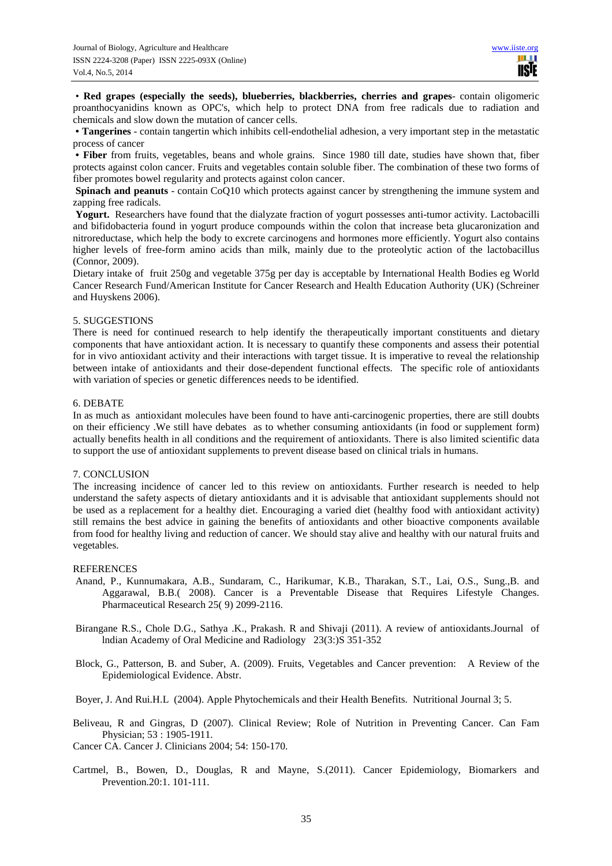• **Red grapes (especially the seeds), blueberries, blackberries, cherries and grapes**- contain oligomeric proanthocyanidins known as OPC's, which help to protect DNA from free radicals due to radiation and chemicals and slow down the mutation of cancer cells.

**• Tangerines** - contain tangertin which inhibits cell-endothelial adhesion, a very important step in the metastatic process of cancer

**• Fiber** from fruits, vegetables, beans and whole grains. Since 1980 till date, studies have shown that, fiber protects against colon cancer. Fruits and vegetables contain soluble fiber. The combination of these two forms of fiber promotes bowel regularity and protects against colon cancer.

**Spinach and peanuts** - contain CoQ10 which protects against cancer by strengthening the immune system and zapping free radicals.

Yogurt. Researchers have found that the dialyzate fraction of yogurt possesses anti-tumor activity. Lactobacilli and bifidobacteria found in yogurt produce compounds within the colon that increase beta glucaronization and nitroreductase, which help the body to excrete carcinogens and hormones more efficiently. Yogurt also contains higher levels of free-form amino acids than milk, mainly due to the proteolytic action of the lactobacillus (Connor, 2009).

Dietary intake of fruit 250g and vegetable 375g per day is acceptable by International Health Bodies eg World Cancer Research Fund/American Institute for Cancer Research and Health Education Authority (UK) (Schreiner and Huyskens 2006).

#### 5. SUGGESTIONS

There is need for continued research to help identify the therapeutically important constituents and dietary components that have antioxidant action. It is necessary to quantify these components and assess their potential for in vivo antioxidant activity and their interactions with target tissue. It is imperative to reveal the relationship between intake of antioxidants and their dose-dependent functional effects. The specific role of antioxidants with variation of species or genetic differences needs to be identified.

#### 6. DEBATE

In as much as antioxidant molecules have been found to have anti-carcinogenic properties, there are still doubts on their efficiency .We still have debates as to whether consuming antioxidants (in food or supplement form) actually benefits health in all conditions and the requirement of antioxidants. There is also limited scientific data to support the use of antioxidant supplements to prevent disease based on clinical trials in humans.

# 7. CONCLUSION

The increasing incidence of cancer led to this review on antioxidants. Further research is needed to help understand the safety aspects of dietary antioxidants and it is advisable that antioxidant supplements should not be used as a replacement for a healthy diet. Encouraging a varied diet (healthy food with antioxidant activity) still remains the best advice in gaining the benefits of antioxidants and other bioactive components available from food for healthy living and reduction of cancer. We should stay alive and healthy with our natural fruits and vegetables.

### **REFERENCES**

- Anand, P., Kunnumakara, A.B., Sundaram, C., Harikumar, K.B., Tharakan, S.T., Lai, O.S., Sung.,B. and Aggarawal, B.B.( 2008). Cancer is a Preventable Disease that Requires Lifestyle Changes. Pharmaceutical Research 25( 9) 2099-2116.
- Birangane R.S., Chole D.G., Sathya .K., Prakash. R and Shivaji (2011). A review of antioxidants.Journal of lndian Academy of Oral Medicine and Radiology 23(3:)S 351-352
- Block, G., Patterson, B. and Suber, A. (2009). Fruits, Vegetables and Cancer prevention: A Review of the Epidemiological Evidence. Abstr.
- Boyer, J. And Rui.H.L (2004). Apple Phytochemicals and their Health Benefits. Nutritional Journal 3; 5.
- Beliveau, R and Gingras, D (2007). Clinical Review; Role of Nutrition in Preventing Cancer. Can Fam Physician; 53 : 1905-1911.

Cancer CA. Cancer J. Clinicians 2004; 54: 150-170.

Cartmel, B., Bowen, D., Douglas, R and Mayne, S.(2011). Cancer Epidemiology, Biomarkers and Prevention.20:1. 101-111.